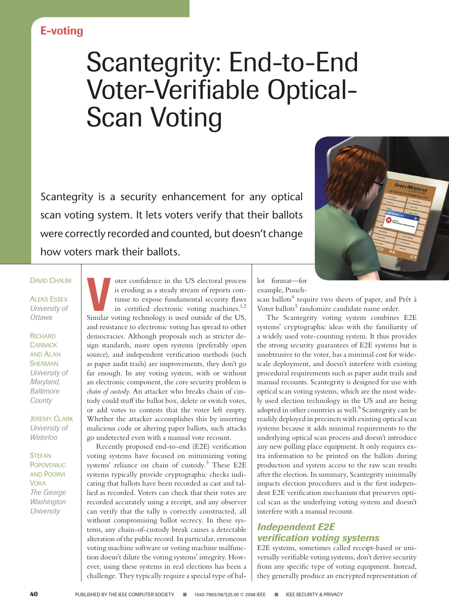# E-voting

# Scantegrity: End-to-End Voter-Verifiable Optical-Scan Voting

Scantegrity is a security enhancement for any optical scan voting system. It lets voters verify that their ballots were correctly recorded and counted, but doesn't change how voters mark their ballots.



#### DAVID CHAUM

**ALEKS ESSEX** *University of Ottawa*

**RICHARD** CARBACK and Alan **SHERMAN** *University of Maryland, Baltimore County*

**JEREMY CLARK** *University of Waterloo*

#### **STEFAN POPOVENIUC** and Poorvi **VORA** *The George Washington University*

of the US electoral process<br>is eroding as a steady stream of reports con-<br>tinue to expose fundamental security flaws<br>in certified electronic voting machines.<sup>1,2</sup><br>Similar voting technology is used outside of the US is eroding as a steady stream of reports continue to expose fundamental security flaws in certified electronic voting machines. $1,2$ Similar voting technology is used outside of the US, and resistance to electronic voting has spread to other democracies. Although proposals such as stricter design standards, more open systems (preferably open source), and independent verification methods (such as paper audit trails) are improvements, they don't go far enough. In any voting system, with or without an electronic component, the core security problem is *chain of custody*. An attacker who breaks chain of custody could stuff the ballot box, delete or switch votes, or add votes to contests that the voter left empty. Whether the attacker accomplishes this by inserting malicious code or altering paper ballots, such attacks go undetected even with a manual vote recount.

Recently proposed end-to-end (E2E) verification voting systems have focused on minimizing voting systems' reliance on chain of custody.<sup>3</sup> These E2E systems typically provide cryptographic checks indicating that ballots have been recorded as cast and tallied as recorded. Voters can check that their votes are recorded accurately using a receipt, and any observer can verify that the tally is correctly constructed, all without compromising ballot secrecy. In these systems, any chain-of-custody break causes a detectable alteration of the public record. In particular, erroneous voting machine software or voting machine malfunction doesn't dilute the voting systems' integrity. However, using these systems in real elections has been a challenge. They typically require a special type of ballot format—for example, Punch-

scan ballots<sup>4</sup> require two sheets of paper, and Prêt à Voter ballots<sup>5</sup> randomize candidate name order.

The Scantegrity voting system combines E2E systems' cryptographic ideas with the familiarity of a widely used vote-counting system. It thus provides the strong security guarantees of E2E systems but is unobtrusive to the voter, has a minimal cost for widescale deployment, and doesn't interfere with existing procedural requirements such as paper audit trails and manual recounts. Scantegrity is designed for use with optical scan voting systems, which are the most widely used election technology in the US and are being adopted in other countries as well.<sup>6</sup> Scantegrity can be readily deployed in precincts with existing optical scan systems because it adds minimal requirements to the underlying optical scan process and doesn't introduce any new polling place equipment. It only requires extra information to be printed on the ballots during production and system access to the raw scan results after the election. In summary, Scantegrity minimally impacts election procedures and is the first independent E2E verification mechanism that preserves optical scan as the underlying voting system and doesn't interfere with a manual recount.

### *Independent E2E verification voting systems*

E2E systems, sometimes called receipt-based or universally verifiable voting systems, don't derive security from any specific type of voting equipment. Instead, they generally produce an encrypted representation of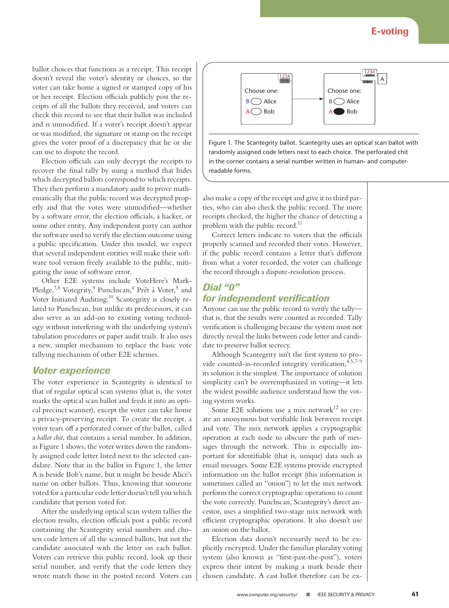ballot choices that functions as a receipt. This receipt doesn't reveal the voter's identity or choices, so the voter can take home a signed or stamped copy of his or her receipt. Election officials publicly post the receipts of all the ballots they received, and voters can check this record to see that their ballot was included and is unmodified. If a voter's receipt doesn't appear or was modified, the signature or stamp on the receipt gives the voter proof of a discrepancy that he or she can use to dispute the record.

Election officials can only decrypt the receipts to recover the final tally by using a method that hides which decrypted ballots correspond to which receipts. They then perform a mandatory audit to prove mathematically that the public record was decrypted properly and that the votes were unmodified—whether by a software error, the election officials, a hacker, or some other entity. Any independent party can author the software used to verify the election outcome using a public specification. Under this model, we expect that several independent entities will make their software tool version freely available to the public, mitigating the issue of software error.

Other E2E systems include VoteHere's Mark-Pledge,<sup>7,8</sup> Votegrity,<sup>9</sup> Punchscan,<sup>4</sup> Prêt à Voter,<sup>5</sup> and Voter Initiated Auditing.10 Scantegrity is closely related to Punchscan, but unlike its predecessors, it can also serve as an add-on to existing voting technology without interfering with the underlying system's tabulation procedures or paper audit trails. It also uses a new, simpler mechanism to replace the basic vote tallying mechanism of other E2E schemes.

#### *Voter experience*

The voter experience in Scantegrity is identical to that of regular optical scan systems (that is, the voter marks the optical scan ballot and feeds it into an optical precinct scanner), except the voter can take home a privacy-preserving receipt. To create the receipt, a voter tears off a perforated corner of the ballot, called a *ballot chit*, that contains a serial number. In addition, as Figure 1 shows, the voter writes down the randomly assigned code letter listed next to the selected candidate. Note that in the ballot in Figure 1, the letter A is beside Bob's name, but it might be beside Alice's name on other ballots. Thus, knowing that someone voted for a particular code letter doesn't tell you which candidate that person voted for.

After the underlying optical scan system tallies the election results, election officials post a public record containing the Scantegrity serial numbers and chosen code letters of all the scanned ballots, but not the candidate associated with the letter on each ballot. Voters can retrieve this public record, look up their serial number, and verify that the code letters they wrote match those in the posted record. Voters can



Figure 1. The Scantegrity ballot. Scantegrity uses an optical scan ballot with randomly assigned code letters next to each choice. The perforated chit in the corner contains a serial number written in human- and computerreadable forms.

also make a copy of the receipt and give it to third parties, who can also check the public record. The more receipts checked, the higher the chance of detecting a problem with the public record.<sup>11</sup>

Correct letters indicate to voters that the officials properly scanned and recorded their votes. However, if the public record contains a letter that's different from what a voter recorded, the voter can challenge the record through a dispute-resolution process.

## *Dial "0" for independent verification*

Anyone can use the public record to verify the tally that is, that the results were counted as recorded. Tally verification is challenging because the system must not directly reveal the links between code letter and candidate to preserve ballot secrecy.

Although Scantegrity isn't the first system to provide counted-as-recorded integrity verification,  $4,5,7-9$ its solution is the simplest. The importance of solution simplicity can't be overemphasized in voting—it lets the widest possible audience understand how the voting system works.

Some E2E solutions use a mix network $12$  to create an anonymous but verifiable link between receipt and vote. The mix network applies a cryptographic operation at each node to obscure the path of messages through the network. This is especially important for identifiable (that is*,* unique) data such as email messages. Some E2E systems provide encrypted information on the ballot receipt (this information is sometimes called an "onion") to let the mix network perform the correct cryptographic operations to count the vote correctly. Punchscan, Scantegrity's direct ancestor, uses a simplified two-stage mix network with efficient cryptographic operations. It also doesn't use an onion on the ballot.

Election data doesn't necessarily need to be explicitly encrypted. Under the familiar plurality voting system (also known as "first-past-the-post"), voters express their intent by making a mark beside their chosen candidate. A cast ballot therefore can be ex-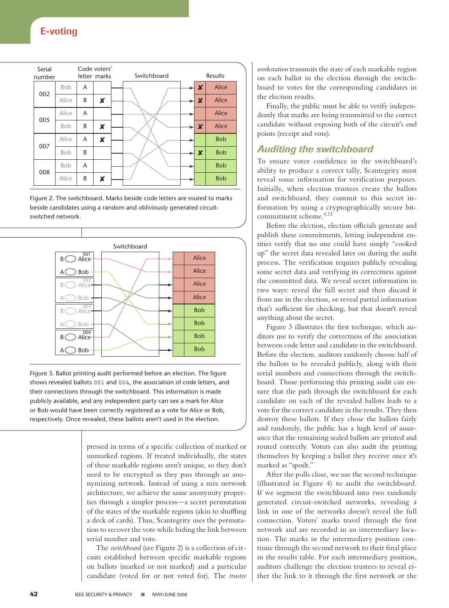## E-voting



Figure 2. The switchboard. Marks beside code letters are routed to marks beside candidates using a random and obliviously generated circuitswitched network.



Figure 3. Ballot printing audit performed before an election. The figure shows revealed ballots 001 and 004, the association of code letters, and their connections through the switchboard. This information is made publicly available, and any independent party can see a mark for Alice or Bob would have been correctly registered as a vote for Alice or Bob, respectively. Once revealed, these ballots aren't used in the election.

> pressed in terms of a specific collection of marked or unmarked regions. If treated individually, the states of these markable regions aren't unique, so they don't need to be encrypted as they pass through an anonymizing network. Instead of using a mix network architecture, we achieve the same anonymity properties through a simpler process—a secret permutation of the states of the markable regions (akin to shuffling a deck of cards). Thus, Scantegrity uses the permutation to recover the vote while hiding the link between serial number and vote.

> The *switchboard* (see Figure 2) is a collection of circuits established between specific markable regions on ballots (marked or not marked) and a particular candidate (voted for or not voted for). The *trustee*

*workstation* transmits the state of each markable region on each ballot in the election through the switchboard to votes for the corresponding candidates in the election results.

Finally, the public must be able to verify independently that marks are being transmitted to the correct candidate without exposing both of the circuit's end points (receipt and vote).

### *Auditing the switchboard*

To ensure voter confidence in the switchboard's ability to produce a correct tally, Scantegrity must reveal some information for verification purposes. Initially, when election trustees create the ballots and switchboard, they commit to this secret information by using a cryptographically secure bitcommitment scheme.<sup>4,13</sup>

Before the election, election officials generate and publish these commitments, letting independent entities verify that no one could have simply "cooked up" the secret data revealed later on during the audit process. The verification requires publicly revealing some secret data and verifying its correctness against the committed data. We reveal secret information in two ways: reveal the full secret and then discard it from use in the election, or reveal partial information that's sufficient for checking, but that doesn't reveal anything about the secret.

Figure 3 illustrates the first technique, which auditors use to verify the correctness of the association between code letter and candidate in the switchboard. Before the election, auditors randomly choose half of the ballots to be revealed publicly, along with their serial numbers and connections through the switchboard. Those performing this printing audit can ensure that the path through the switchboard for each candidate on each of the revealed ballots leads to a vote for the correct candidate in the results. They then destroy these ballots. If they chose the ballots fairly and randomly, the public has a high level of assurance that the remaining sealed ballots are printed and routed correctly. Voters can also audit the printing themselves by keeping a ballot they receive once it's marked as "spoilt."

After the polls close, we use the second technique (illustrated in Figure 4) to audit the switchboard. If we segment the switchboard into two randomly generated circuit-switched networks, revealing a link in one of the networks doesn't reveal the full connection. Voters' marks travel through the first network and are recorded in an intermediary location. The marks in the intermediary position continue through the second network to their final place in the results table. For each intermediary position, auditors challenge the election trustees to reveal either the link to it through the first network or the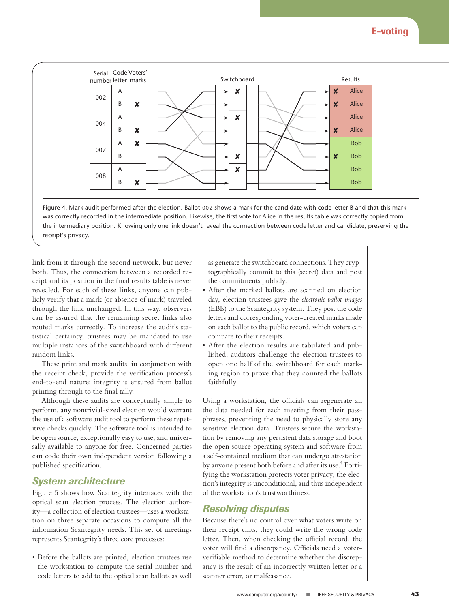

Figure 4. Mark audit performed after the election. Ballot 002 shows a mark for the candidate with code letter B and that this mark was correctly recorded in the intermediate position. Likewise, the first vote for Alice in the results table was correctly copied from the intermediary position. Knowing only one link doesn't reveal the connection between code letter and candidate, preserving the receipt's privacy.

link from it through the second network, but never both. Thus, the connection between a recorded receipt and its position in the final results table is never revealed. For each of these links, anyone can publicly verify that a mark (or absence of mark) traveled through the link unchanged. In this way, observers can be assured that the remaining secret links also routed marks correctly. To increase the audit's statistical certainty, trustees may be mandated to use multiple instances of the switchboard with different random links.

These print and mark audits, in conjunction with the receipt check, provide the verification process's end-to-end nature: integrity is ensured from ballot printing through to the final tally.

Although these audits are conceptually simple to perform, any nontrivial-sized election would warrant the use of a software audit tool to perform these repetitive checks quickly. The software tool is intended to be open source, exceptionally easy to use, and universally available to anyone for free. Concerned parties can code their own independent version following a published specification.

### *System architecture*

Figure 5 shows how Scantegrity interfaces with the optical scan election process. The election authority—a collection of election trustees—uses a workstation on three separate occasions to compute all the information Scantegrity needs. This set of meetings represents Scantegrity's three core processes:

Before the ballots are printed, election trustees use • the workstation to compute the serial number and code letters to add to the optical scan ballots as well

as generate the switchboard connections. They cryptographically commit to this (secret) data and post the commitments publicly.

- After the marked ballots are scanned on election day, election trustees give the *electronic ballot images*  (EBIs) to the Scantegrity system. They post the code letters and corresponding voter-created marks made on each ballot to the public record, which voters can compare to their receipts.
- After the election results are tabulated and pub-• lished, auditors challenge the election trustees to open one half of the switchboard for each marking region to prove that they counted the ballots faithfully.

Using a workstation, the officials can regenerate all the data needed for each meeting from their passphrases, preventing the need to physically store any sensitive election data. Trustees secure the workstation by removing any persistent data storage and boot the open source operating system and software from a self-contained medium that can undergo attestation by anyone present both before and after its use.<sup>4</sup> Fortifying the workstation protects voter privacy; the election's integrity is unconditional, and thus independent of the workstation's trustworthiness.

## *Resolving disputes*

Because there's no control over what voters write on their receipt chits, they could write the wrong code letter. Then, when checking the official record, the voter will find a discrepancy. Officials need a voterverifiable method to determine whether the discrepancy is the result of an incorrectly written letter or a scanner error, or malfeasance.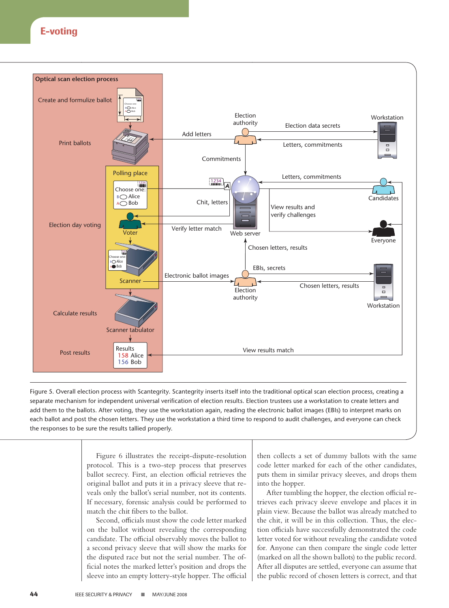## E-voting



Figure 5. Overall election process with Scantegrity. Scantegrity inserts itself into the traditional optical scan election process, creating a separate mechanism for independent universal verification of election results. Election trustees use a workstation to create letters and add them to the ballots. After voting, they use the workstation again, reading the electronic ballot images (EBIs) to interpret marks on each ballot and post the chosen letters. They use the workstation a third time to respond to audit challenges, and everyone can check the responses to be sure the results tallied properly.

> Figure 6 illustrates the receipt-dispute-resolution protocol. This is a two-step process that preserves ballot secrecy. First, an election official retrieves the original ballot and puts it in a privacy sleeve that reveals only the ballot's serial number, not its contents. If necessary, forensic analysis could be performed to match the chit fibers to the ballot.

> Second, officials must show the code letter marked on the ballot without revealing the corresponding candidate. The official observably moves the ballot to a second privacy sleeve that will show the marks for the disputed race but not the serial number. The official notes the marked letter's position and drops the sleeve into an empty lottery-style hopper. The official

then collects a set of dummy ballots with the same code letter marked for each of the other candidates, puts them in similar privacy sleeves, and drops them into the hopper.

After tumbling the hopper, the election official retrieves each privacy sleeve envelope and places it in plain view. Because the ballot was already matched to the chit, it will be in this collection. Thus, the election officials have successfully demonstrated the code letter voted for without revealing the candidate voted for. Anyone can then compare the single code letter (marked on all the shown ballots) to the public record. After all disputes are settled, everyone can assume that the public record of chosen letters is correct, and that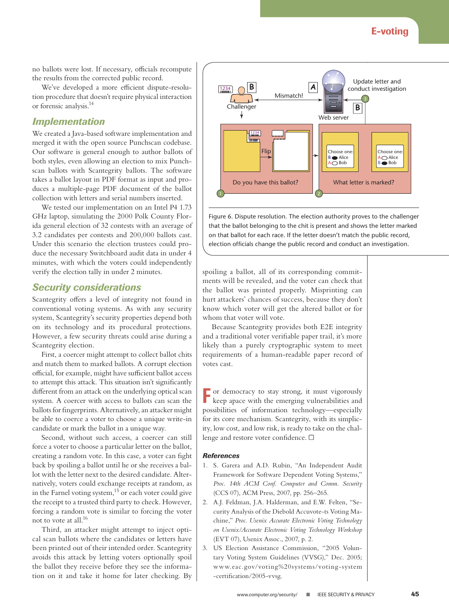no ballots were lost. If necessary, officials recompute the results from the corrected public record.

We've developed a more efficient dispute-resolution procedure that doesn't require physical interaction or forensic analysis.14

#### *Implementation*

We created a Java-based software implementation and merged it with the open source Punchscan codebase. Our software is general enough to author ballots of both styles, even allowing an election to mix Punchscan ballots with Scantegrity ballots. The software takes a ballot layout in PDF format as input and produces a multiple-page PDF document of the ballot collection with letters and serial numbers inserted.

We tested our implementation on an Intel P4 1.73 GHz laptop, simulating the 2000 Polk County Florida general election of 32 contests with an average of 3.2 candidates per contests and 200,000 ballots cast. Under this scenario the election trustees could produce the necessary Switchboard audit data in under 4 minutes, with which the voters could independently verify the election tally in under 2 minutes.

#### *Security considerations*

Scantegrity offers a level of integrity not found in conventional voting systems. As with any security system, Scantegrity's security properties depend both on its technology and its procedural protections. However, a few security threats could arise during a Scantegrity election.

First, a coercer might attempt to collect ballot chits and match them to marked ballots. A corrupt election official, for example, might have sufficient ballot access to attempt this attack. This situation isn't significantly different from an attack on the underlying optical scan system. A coercer with access to ballots can scan the ballots for fingerprints. Alternatively, an attacker might be able to coerce a voter to choose a unique write-in candidate or mark the ballot in a unique way.

Second, without such access, a coercer can still force a voter to choose a particular letter on the ballot, creating a random vote. In this case, a voter can fight back by spoiling a ballot until he or she receives a ballot with the letter next to the desired candidate. Alternatively, voters could exchange receipts at random, as in the Farnel voting system,<sup>15</sup> or each voter could give the receipt to a trusted third party to check. However, forcing a random vote is similar to forcing the voter not to vote at all.16

Third, an attacker might attempt to inject optical scan ballots where the candidates or letters have been printed out of their intended order. Scantegrity avoids this attack by letting voters optionally spoil the ballot they receive before they see the information on it and take it home for later checking. By



Figure 6. Dispute resolution. The election authority proves to the challenger that the ballot belonging to the chit is present and shows the letter marked on that ballot for each race. If the letter doesn't match the public record, election officials change the public record and conduct an investigation.

spoiling a ballot, all of its corresponding commitments will be revealed, and the voter can check that the ballot was printed properly. Misprinting can hurt attackers' chances of success, because they don't know which voter will get the altered ballot or for whom that voter will vote.

Because Scantegrity provides both E2E integrity and a traditional voter verifiable paper trail, it's more likely than a purely cryptographic system to meet requirements of a human-readable paper record of votes cast.

For democracy to stay strong, it must vigorously<br>keep apace with the keep apace with the emerging vulnerabilities and possibilities of information technology—especially for its core mechanism. Scantegrity, with its simplicity, low cost, and low risk, is ready to take on the challenge and restore voter confidence.  $\square$ 

#### *References*

- 1. S. Garera and A.D. Rubin, "An Independent Audit Framework for Software Dependent Voting Systems," *Proc. 14th ACM Conf. Computer and Comm. Security* (CCS 07), ACM Press, 2007, pp. 256–265.
- A.J. Feldman, J.A. Halderman, and E.W. Felten, "Se-2. curity Analysis of the Diebold Accuvote-ts Voting Machine," *Proc. Usenix Accurate Electronic Voting Technology on Usenix/Accurate Electronic Voting Technology Workshop* (EVT 07), Usenix Assoc., 2007, p. 2.
- US Election Assistance Commission, "2005 Volun-3. tary Voting System Guidelines (VVSG)," Dec. 2005; www.eac.gov/voting%20systems/voting-system -certification/2005-vvsg.